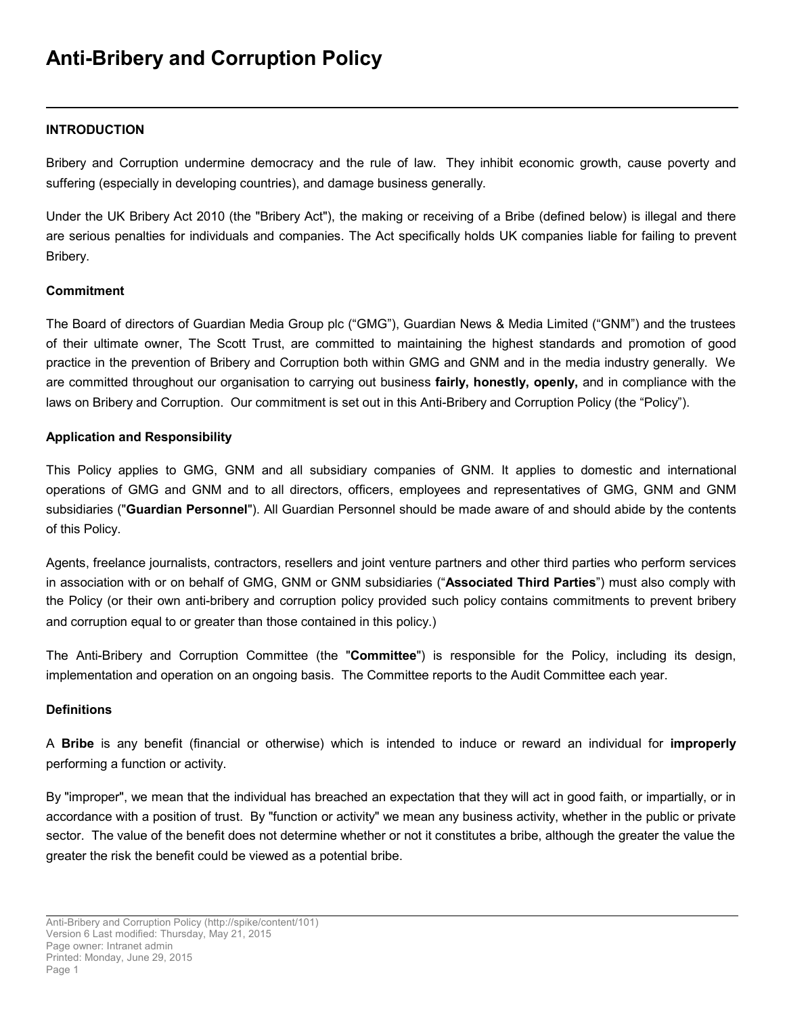# **Anti-Bribery and Corruption Policy**

#### **INTRODUCTION**

Bribery and Corruption undermine democracy and the rule of law. They inhibit economic growth, cause poverty and suffering (especially in developing countries), and damage business generally.

Under the UK Bribery Act 2010 (the "Bribery Act"), the making or receiving of a Bribe (defined below) is illegal and there are serious penalties for individuals and companies. The Act specifically holds UK companies liable for failing to prevent Bribery.

#### **Commitment**

The Board of directors of Guardian Media Group plc ("GMG"), Guardian News & Media Limited ("GNM") and the trustees of their ultimate owner, The Scott Trust, are committed to maintaining the highest standards and promotion of good practice in the prevention of Bribery and Corruption both within GMG and GNM and in the media industry generally. We are committed throughout our organisation to carrying out business **fairly, honestly, openly,** and in compliance with the laws on Bribery and Corruption. Our commitment is set out in this Anti-Bribery and Corruption Policy (the "Policy").

#### **Application and Responsibility**

This Policy applies to GMG, GNM and all subsidiary companies of GNM. It applies to domestic and international operations of GMG and GNM and to all directors, officers, employees and representatives of GMG, GNM and GNM subsidiaries ("**Guardian Personnel**"). All Guardian Personnel should be made aware of and should abide by the contents of this Policy.

Agents, freelance journalists, contractors, resellers and joint venture partners and other third parties who perform services in association with or on behalf of GMG, GNM or GNM subsidiaries ("**Associated Third Parties**") must also comply with the Policy (or their own anti-bribery and corruption policy provided such policy contains commitments to prevent bribery and corruption equal to or greater than those contained in this policy.)

The Anti-Bribery and Corruption Committee (the "**Committee**") is responsible for the Policy, including its design, implementation and operation on an ongoing basis. The Committee reports to the Audit Committee each year.

#### **Definitions**

A **Bribe** is any benefit (financial or otherwise) which is intended to induce or reward an individual for **improperly** performing a function or activity.

By "improper", we mean that the individual has breached an expectation that they will act in good faith, or impartially, or in accordance with a position of trust. By "function or activity" we mean any business activity, whether in the public or private sector. The value of the benefit does not determine whether or not it constitutes a bribe, although the greater the value the greater the risk the benefit could be viewed as a potential bribe.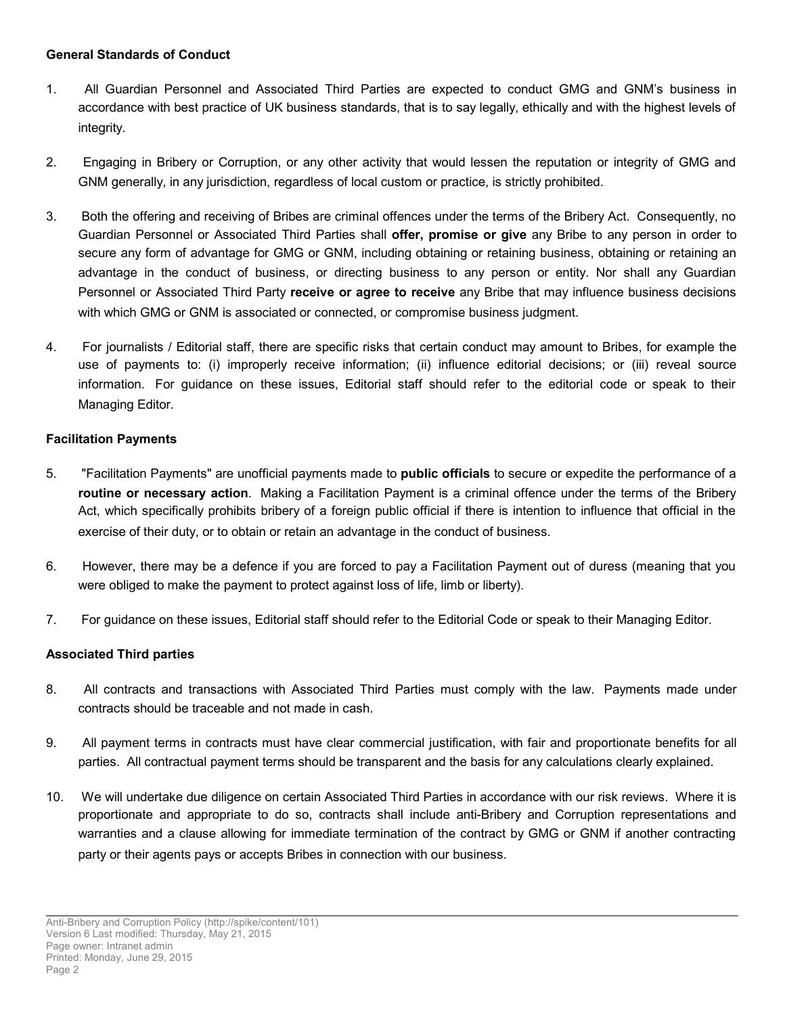#### **General Standards of Conduct**

- 1. All Guardian Personnel and Associated Third Parties are expected to conduct GMG and GNM's business in accordance with best practice of UK business standards, that is to say legally, ethically and with the highest levels of integrity.
- 2. Engaging in Bribery or Corruption, or any other activity that would lessen the reputation or integrity of GMG and GNM generally, in any jurisdiction, regardless of local custom or practice, is strictly prohibited.
- 3. Both the offering and receiving of Bribes are criminal offences under the terms of the Bribery Act. Consequently, no Guardian Personnel or Associated Third Parties shall **offer, promise or give** any Bribe to any person in order to secure any form of advantage for GMG or GNM, including obtaining or retaining business, obtaining or retaining an advantage in the conduct of business, or directing business to any person or entity. Nor shall any Guardian Personnel or Associated Third Party **receive or agree to receive** any Bribe that may influence business decisions with which GMG or GNM is associated or connected, or compromise business judgment.
- 4. For journalists / Editorial staff, there are specific risks that certain conduct may amount to Bribes, for example the use of payments to: (i) improperly receive information; (ii) influence editorial decisions; or (iii) reveal source information. For guidance on these issues, Editorial staff should refer to the editorial code or speak to their Managing Editor.

## **Facilitation Payments**

- 5. "Facilitation Payments" are unofficial payments made to **public officials** to secure or expedite the performance of a **routine or necessary action**. Making a Facilitation Payment is a criminal offence under the terms of the Bribery Act, which specifically prohibits bribery of a foreign public official if there is intention to influence that official in the exercise of their duty, or to obtain or retain an advantage in the conduct of business.
- 6. However, there may be a defence if you are forced to pay a Facilitation Payment out of duress (meaning that you were obliged to make the payment to protect against loss of life, limb or liberty).
- 7. For guidance on these issues, Editorial staff should refer to the Editorial Code or speak to their Managing Editor.

## **Associated Third parties**

- 8. All contracts and transactions with Associated Third Parties must comply with the law. Payments made under contracts should be traceable and not made in cash.
- 9. All payment terms in contracts must have clear commercial justification, with fair and proportionate benefits for all parties. All contractual payment terms should be transparent and the basis for any calculations clearly explained.
- 10. We will undertake due diligence on certain Associated Third Parties in accordance with our risk reviews. Where it is proportionate and appropriate to do so, contracts shall include anti-Bribery and Corruption representations and warranties and a clause allowing for immediate termination of the contract by GMG or GNM if another contracting party or their agents pays or accepts Bribes in connection with our business.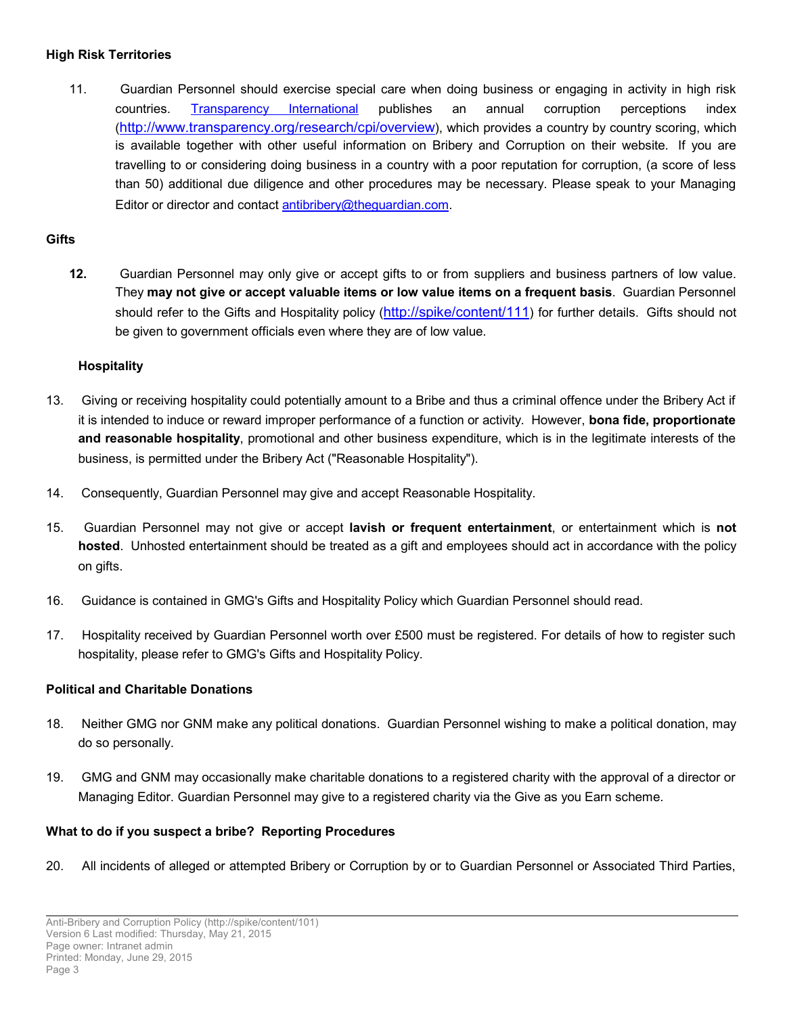#### **High Risk Territories**

11. Guardian Personnel should exercise special care when doing business or engaging in activity in high risk countries. [Transparency International](http://www.transparency.org.uk/) publishes an annual corruption perceptions index (<http://www.transparency.org/research/cpi/overview>), which provides a country by country scoring, which is available together with other useful information on Bribery and Corruption on their website. If you are travelling to or considering doing business in a country with a poor reputation for corruption, (a score of less than 50) additional due diligence and other procedures may be necessary. Please speak to your Managing Editor or director and contact [antibribery@theguardian.com](mailto:antibribery@theguardian.com).

## **Gifts**

**12.** Guardian Personnel may only give or accept gifts to or from suppliers and business partners of low value. They **may not give or accept valuable items or low value items on a frequent basis**. Guardian Personnel should refer to the Gifts and Hospitality policy (<http://spike/content/111>) for further details. Gifts should not be given to government officials even where they are of low value.

## **Hospitality**

- 13. Giving or receiving hospitality could potentially amount to a Bribe and thus a criminal offence under the Bribery Act if it is intended to induce or reward improper performance of a function or activity. However, **bona fide, proportionate and reasonable hospitality**, promotional and other business expenditure, which is in the legitimate interests of the business, is permitted under the Bribery Act ("Reasonable Hospitality").
- 14. Consequently, Guardian Personnel may give and accept Reasonable Hospitality.
- 15. Guardian Personnel may not give or accept **lavish or frequent entertainment**, or entertainment which is **not hosted**. Unhosted entertainment should be treated as a gift and employees should act in accordance with the policy on gifts.
- 16. Guidance is contained in GMG's Gifts and Hospitality Policy which Guardian Personnel should read.
- 17. Hospitality received by Guardian Personnel worth over £500 must be registered. For details of how to register such hospitality, please refer to GMG's Gifts and Hospitality Policy.

## **Political and Charitable Donations**

- 18. Neither GMG nor GNM make any political donations. Guardian Personnel wishing to make a political donation, may do so personally.
- 19. GMG and GNM may occasionally make charitable donations to a registered charity with the approval of a director or Managing Editor. Guardian Personnel may give to a registered charity via the Give as you Earn scheme.

## **What to do if you suspect a bribe? Reporting Procedures**

20. All incidents of alleged or attempted Bribery or Corruption by or to Guardian Personnel or Associated Third Parties,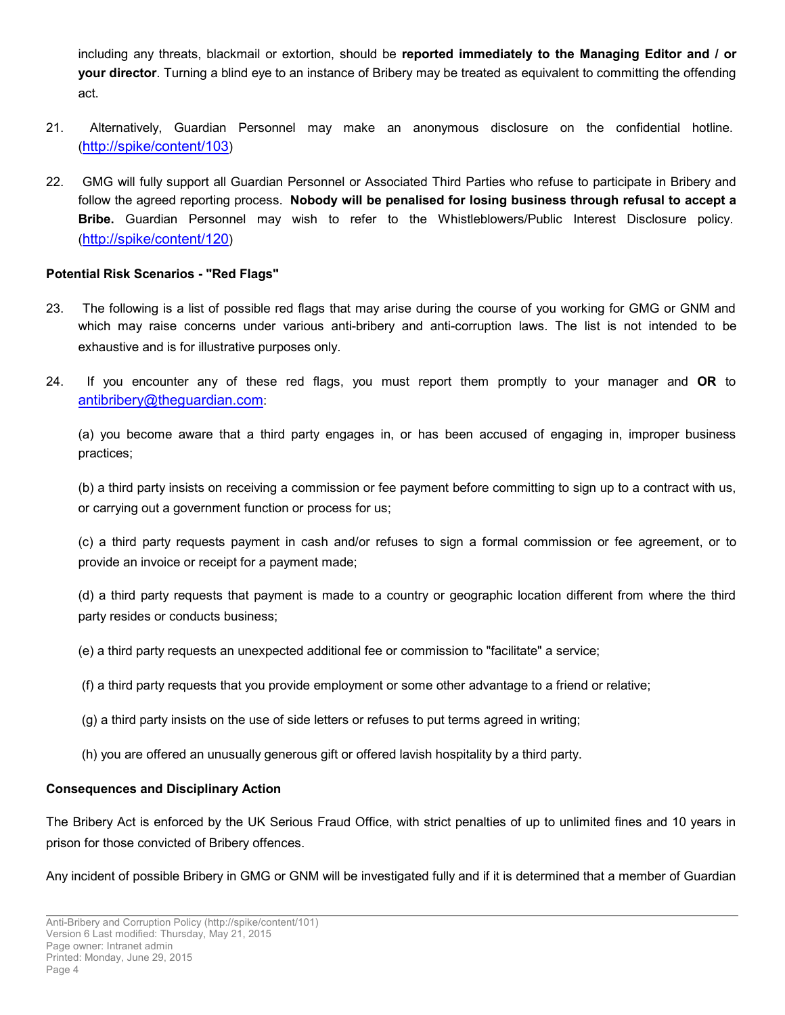including any threats, blackmail or extortion, should be **reported immediately to the Managing Editor and / or your director**. Turning a blind eye to an instance of Bribery may be treated as equivalent to committing the offending act.

- 21. Alternatively, Guardian Personnel may make an anonymous disclosure on the confidential hotline. (<http://spike/content/103>)
- 22. GMG will fully support all Guardian Personnel or Associated Third Parties who refuse to participate in Bribery and follow the agreed reporting process. **Nobody will be penalised for losing business through refusal to accept a Bribe.** Guardian Personnel may wish to refer to the Whistleblowers/Public Interest Disclosure policy. (<http://spike/content/120>)

#### **Potential Risk Scenarios - "Red Flags"**

- 23. The following is a list of possible red flags that may arise during the course of you working for GMG or GNM and which may raise concerns under various anti-bribery and anti-corruption laws. The list is not intended to be exhaustive and is for illustrative purposes only.
- 24. If you encounter any of these red flags, you must report them promptly to your manager and **OR** to [antibribery@theguardian.com](mailto:antibribery@theguardian.com):

(a) you become aware that a third party engages in, or has been accused of engaging in, improper business practices;

(b) a third party insists on receiving a commission or fee payment before committing to sign up to a contract with us, or carrying out a government function or process for us;

(c) a third party requests payment in cash and/or refuses to sign a formal commission or fee agreement, or to provide an invoice or receipt for a payment made;

(d) a third party requests that payment is made to a country or geographic location different from where the third party resides or conducts business;

- (e) a third party requests an unexpected additional fee or commission to "facilitate" a service;
- (f) a third party requests that you provide employment or some other advantage to a friend or relative;
- (g) a third party insists on the use of side letters or refuses to put terms agreed in writing;
- (h) you are offered an unusually generous gift or offered lavish hospitality by a third party.

## **Consequences and Disciplinary Action**

The Bribery Act is enforced by the UK Serious Fraud Office, with strict penalties of up to unlimited fines and 10 years in prison for those convicted of Bribery offences.

Any incident of possible Bribery in GMG or GNM will be investigated fully and if it is determined that a member of Guardian